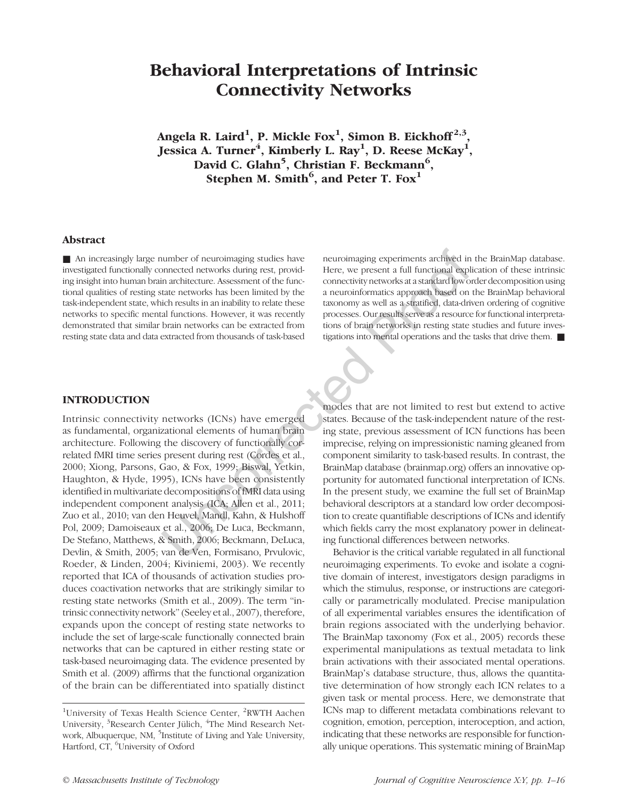# Behavioral Interpretations of Intrinsic Connectivity Networks

Angela R. Laird $^1$ , P. Mickle Fox $^1$ , Simon B. Eickhoff $^{2,3},$ Jessica A. Turner<sup>4</sup>, Kimberly L. Ray<sup>1</sup>, D. Reese McKay<sup>1</sup>, David C. Glahn<sup>5</sup>, Christian F. Beckmann<sup>6</sup>, Stephen M. Smith<sup>6</sup>, and Peter T. Fox<sup>1</sup>

#### Abstract

■ An increasingly large number of neuroimaging studies have investigated functionally connected networks during rest, providing insight into human brain architecture. Assessment of the functional qualities of resting state networks has been limited by the task-independent state, which results in an inability to relate these networks to specific mental functions. However, it was recently demonstrated that similar brain networks can be extracted from resting state data and data extracted from thousands of task-based

neuroimaging experiments archived in the BrainMap database. Here, we present a full functional explication of these intrinsic connectivity networks at a standard low order decomposition using a neuroinformatics approach based on the BrainMap behavioral taxonomy as well as a stratified, data-driven ordering of cognitive processes. Our results serve as a resource for functional interpretations of brain networks in resting state studies and future investigations into mental operations and the tasks that drive them. ■

#### INTRODUCTION

Intrinsic connectivity networks (ICNs) have emerged as fundamental, organizational elements of human brain architecture. Following the discovery of functionally correlated fMRI time series present during rest (Cordes et al., 2000; Xiong, Parsons, Gao, & Fox, 1999; Biswal, Yetkin, Haughton, & Hyde, 1995), ICNs have been consistently identified in multivariate decompositions of fMRI data using independent component analysis (ICA; Allen et al., 2011; Zuo et al., 2010; van den Heuvel, Mandl, Kahn, & Hulshoff Pol, 2009; Damoiseaux et al., 2006; De Luca, Beckmann, De Stefano, Matthews, & Smith, 2006; Beckmann, DeLuca, Devlin, & Smith, 2005; van de Ven, Formisano, Prvulovic, Roeder, & Linden, 2004; Kiviniemi, 2003). We recently reported that ICA of thousands of activation studies produces coactivation networks that are strikingly similar to resting state networks (Smith et al., 2009). The term "intrinsic connectivity network"(Seeley et al., 2007), therefore, expands upon the concept of resting state networks to include the set of large-scale functionally connected brain networks that can be captured in either resting state or task-based neuroimaging data. The evidence presented by Smith et al. (2009) affirms that the functional organization of the brain can be differentiated into spatially distinct

% uniform of neuroimaging studies have<br>
increased neuroimaging experiments archived in a methicature. Assessment of the func-<br>
increase are neuroimative works at a standard low of connectivity networks as a standard on<br>
ic modes that are not limited to rest but extend to active states. Because of the task-independent nature of the resting state, previous assessment of ICN functions has been imprecise, relying on impressionistic naming gleaned from component similarity to task-based results. In contrast, the BrainMap database (brainmap.org) offers an innovative opportunity for automated functional interpretation of ICNs. In the present study, we examine the full set of BrainMap behavioral descriptors at a standard low order decomposition to create quantifiable descriptions of ICNs and identify which fields carry the most explanatory power in delineating functional differences between networks.

Behavior is the critical variable regulated in all functional neuroimaging experiments. To evoke and isolate a cognitive domain of interest, investigators design paradigms in which the stimulus, response, or instructions are categorically or parametrically modulated. Precise manipulation of all experimental variables ensures the identification of brain regions associated with the underlying behavior. The BrainMap taxonomy (Fox et al., 2005) records these experimental manipulations as textual metadata to link brain activations with their associated mental operations. BrainMap 's database structure, thus, allows the quantitative determination of how strongly each ICN relates to a given task or mental process. Here, we demonstrate that ICNs map to different metadata combinations relevant to cognition, emotion, perception, interoception, and action, indicating that these networks are responsible for functionally unique operations. This systematic mining of BrainMap

<sup>&</sup>lt;sup>1</sup>University of Texas Health Science Center, <sup>2</sup>RWTH Aachen University, <sup>3</sup>Research Center Jülich, <sup>4</sup>The Mind Research Network, Albuquerque, NM, <sup>5</sup>Institute of Living and Yale University, Hartford, CT, 6 University of Oxford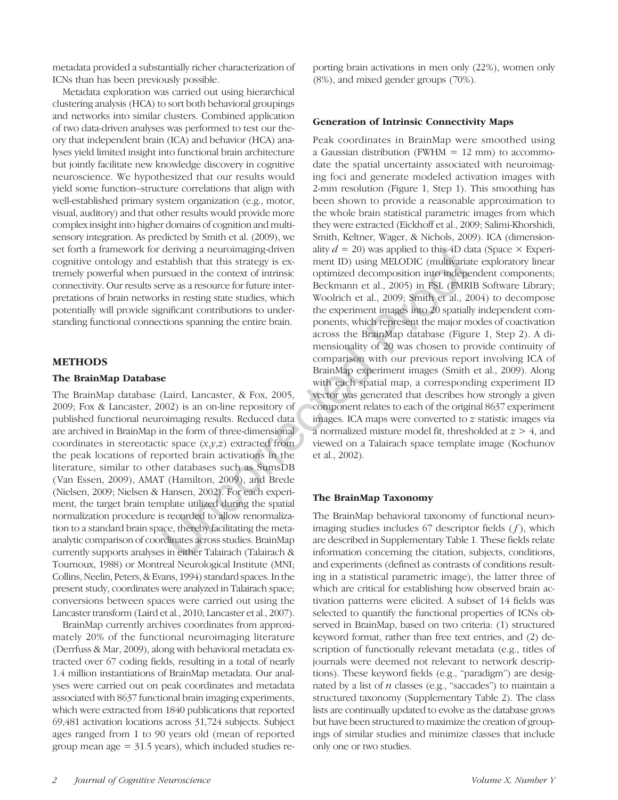metadata provided a substantially richer characterization of ICNs than has been previously possible.

Metadata exploration was carried out using hierarchical clustering analysis (HCA) to sort both behavioral groupings and networks into similar clusters. Combined application of two data-driven analyses was performed to test our theory that independent brain (ICA) and behavior (HCA) analyses yield limited insight into functional brain architecture but jointly facilitate new knowledge discovery in cognitive neuroscience. We hypothesized that our results would yield some function–structure correlations that align with well-established primary system organization (e.g., motor, visual, auditory) and that other results would provide more complex insight into higher domains of cognition and multisensory integration. As predicted by Smith et al. (2009), we set forth a framework for deriving a neuroimaging-driven cognitive ontology and establish that this strategy is extremely powerful when pursued in the context of intrinsic connectivity. Our results serve as a resource for future interpretations of brain networks in resting state studies, which potentially will provide significant contributions to understanding functional connections spanning the entire brain.

#### METHODS

#### The BrainMap Database

The BrainMap database (Laird, Lancaster, & Fox, 2005, 2009; Fox & Lancaster, 2002) is an on-line repository of published functional neuroimaging results. Reduced data are archived in BrainMap in the form of three-dimensional coordinates in stereotactic space  $(x, y, z)$  extracted from the peak locations of reported brain activations in the literature, similar to other databases such as SumsDB (Van Essen, 2009), AMAT (Hamilton, 2009), and Brede (Nielsen, 2009; Nielsen & Hansen, 2002). For each experiment, the target brain template utilized during the spatial normalization procedure is recorded to allow renormalization to a standard brain space, thereby facilitating the metaanalytic comparison of coordinates across studies. BrainMap currently supports analyses in either Talairach (Talairach & Tournoux, 1988) or Montreal Neurological Institute (MNI; Collins, Neelin, Peters, & Evans, 1994) standard spaces. In the present study, coordinates were analyzed in Talairach space; conversions between spaces were carried out using the Lancaster transform (Laird et al., 2010; Lancaster et al., 2007).

BrainMap currently archives coordinates from approximately 20% of the functional neuroimaging literature (Derrfuss & Mar, 2009), along with behavioral metadata extracted over 67 coding fields, resulting in a total of nearly 1.4 million instantiations of BrainMap metadata. Our analyses were carried out on peak coordinates and metadata associated with 8637 functional brain imaging experiments, which were extracted from 1840 publications that reported 69,481 activation locations across 31,724 subjects. Subject ages ranged from 1 to 90 years old (mean of reported group mean  $\alpha$ ge = 31.5 years), which included studies reporting brain activations in men only (22%), women only (8%), and mixed gender groups (70%).

#### Generation of Intrinsic Connectivity Maps

deriving a neuromagney<br>threathis that his stategy is ex-<br>traction and  $U = 20$  was applied to this 4D data<br>statels that this stategy is ex-<br>ment ID) using MELODIC (multivariated in the context of intrinsic<br>optimized decomp Peak coordinates in BrainMap were smoothed using a Gaussian distribution (FWHM  $= 12$  mm) to accommodate the spatial uncertainty associated with neuroimaging foci and generate modeled activation images with 2-mm resolution (Figure 1, Step 1). This smoothing has been shown to provide a reasonable approximation to the whole brain statistical parametric images from which they were extracted (Eickhoff et al., 2009; Salimi-Khorshidi, Smith, Keltner, Wager, & Nichols, 2009). ICA (dimensionality  $d = 20$ ) was applied to this 4D data (Space  $\times$  Experiment ID) using MELODIC (multivariate exploratory linear optimized decomposition into independent components; Beckmann et al., 2005) in FSL (FMRIB Software Library; Woolrich et al., 2009; Smith et al., 2004) to decompose the experiment images into 20 spatially independent components, which represent the major modes of coactivation across the BrainMap database (Figure 1, Step 2). A dimensionality of 20 was chosen to provide continuity of comparison with our previous report involving ICA of BrainMap experiment images (Smith et al., 2009). Along with each spatial map, a corresponding experiment ID vector was generated that describes how strongly a given component relates to each of the original 8637 experiment images. ICA maps were converted to z statistic images via a normalized mixture model fit, thresholded at  $z > 4$ , and viewed on a Talairach space template image (Kochunov et al., 2002).

# The BrainMap Taxonomy

The BrainMap behavioral taxonomy of functional neuroimaging studies includes  $67$  descriptor fields  $(f)$ , which are described in Supplementary Table 1. These fields relate information concerning the citation, subjects, conditions, and experiments (defined as contrasts of conditions resulting in a statistical parametric image), the latter three of which are critical for establishing how observed brain activation patterns were elicited. A subset of 14 fields was selected to quantify the functional properties of ICNs observed in BrainMap, based on two criteria: (1) structured keyword format, rather than free text entries, and (2) description of functionally relevant metadata (e.g., titles of journals were deemed not relevant to network descriptions). These keyword fields (e.g., "paradigm") are designated by a list of  $n$  classes (e.g., "saccades") to maintain a structured taxonomy (Supplementary Table 2). The class lists are continually updated to evolve as the database grows but have been structured to maximize the creation of groupings of similar studies and minimize classes that include only one or two studies.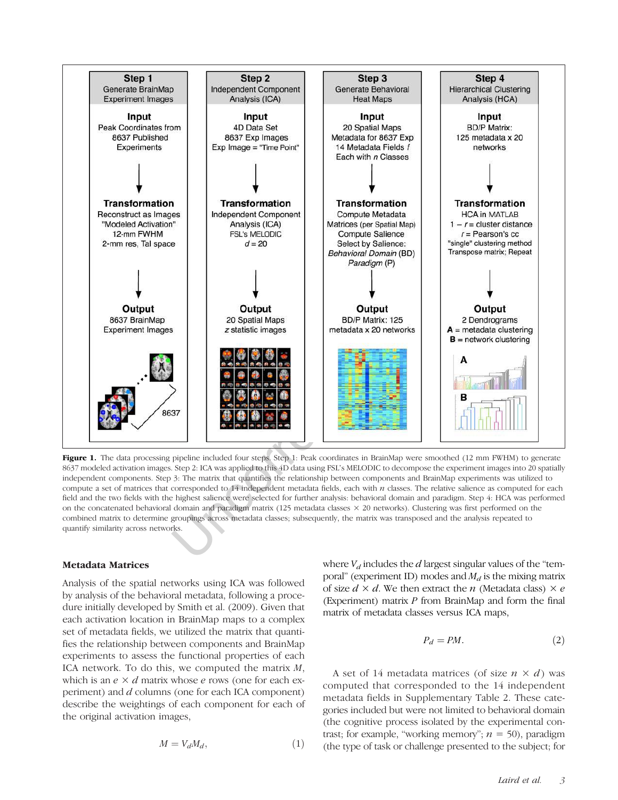

Figure 1. The data processing pipeline included four steps. Step 1: Peak coordinates in BrainMap were smoothed (12 mm FWHM) to generate 8637 modeled activation images. Step 2: ICA was applied to this 4D data using FSL's MELODIC to decompose the experiment images into 20 spatially independent components. Step 3: The matrix that quantifies the relationship between components and BrainMap experiments was utilized to compute a set of matrices that corresponded to 14 independent metadata fields, each with  $n$  classes. The relative salience as computed for each field and the two fields with the highest salience were selected for further analysis: behavioral domain and paradigm. Step 4: HCA was performed on the concatenated behavioral domain and paradigm matrix (125 metadata classes  $\times$  20 networks). Clustering was first performed on the combined matrix to determine groupings across metadata classes; subsequently, the matrix was transposed and the analysis repeated to quantify similarity across networks.

#### Metadata Matrices

Analysis of the spatial networks using ICA was followed by analysis of the behavioral metadata, following a procedure initially developed by Smith et al. (2009). Given that each activation location in BrainMap maps to a complex set of metadata fields, we utilized the matrix that quantifies the relationship between components and BrainMap experiments to assess the functional properties of each ICA network. To do this, we computed the matrix M, which is an  $e \times d$  matrix whose e rows (one for each experiment) and d columns (one for each ICA component) describe the weightings of each component for each of the original activation images,

$$
M = V_d M_d,\tag{1}
$$

where  $V_d$  includes the d largest singular values of the "temporal" (experiment ID) modes and  $M_d$  is the mixing matrix of size  $d \times d$ . We then extract the *n* (Metadata class)  $\times e$ (Experiment) matrix  $P$  from BrainMap and form the final matrix of metadata classes versus ICA maps,

$$
P_d = PM.\tag{2}
$$

A set of 14 metadata matrices (of size  $n \times d$ ) was computed that corresponded to the 14 independent metadata fields in Supplementary Table 2. These categories included but were not limited to behavioral domain (the cognitive process isolated by the experimental contrast; for example, "working memory";  $n = 50$ ), paradigm (the type of task or challenge presented to the subject; for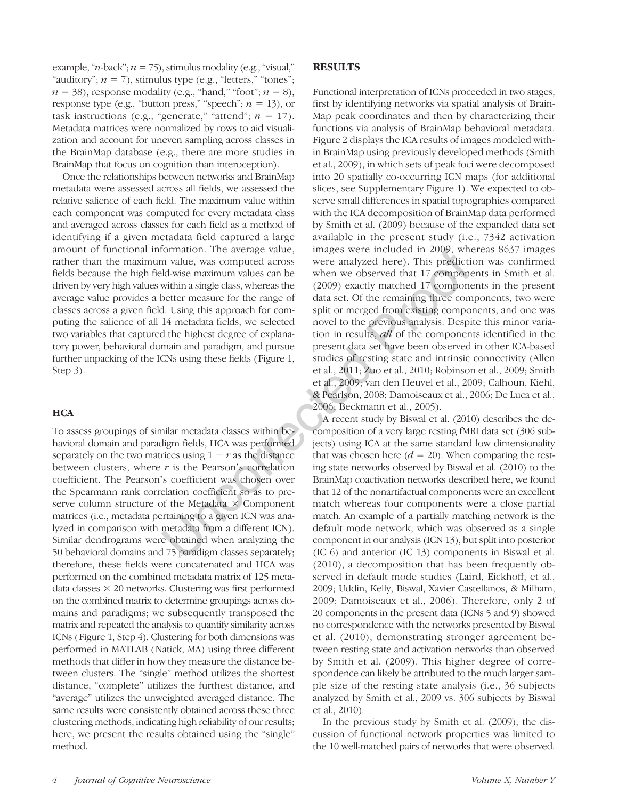example, "*n*-back";  $n = 75$ ), stimulus modality (e.g., "visual," "auditory";  $n = 7$ ), stimulus type (e.g., "letters," "tones";  $n = 38$ ), response modality (e.g., "hand," "foot";  $n = 8$ ), response type (e.g., "button press," "speech";  $n = 13$ ), or task instructions (e.g., "generate," "attend";  $n = 17$ ). Metadata matrices were normalized by rows to aid visualization and account for uneven sampling across classes in the BrainMap database (e.g., there are more studies in BrainMap that focus on cognition than interoception).

Once the relationships between networks and BrainMap metadata were assessed across all fields, we assessed the relative salience of each field. The maximum value within each component was computed for every metadata class and averaged across classes for each field as a method of identifying if a given metadata field captured a large amount of functional information. The average value, rather than the maximum value, was computed across fields because the high field-wise maximum values can be driven by very high values within a single class, whereas the average value provides a better measure for the range of classes across a given field. Using this approach for computing the salience of all 14 metadata fields, we selected two variables that captured the highest degree of explanatory power, behavioral domain and paradigm, and pursue further unpacking of the ICNs using these fields (Figure 1, Step 3).

# **HCA**

To assess groupings of similar metadata classes within behavioral domain and paradigm fields, HCA was performed separately on the two matrices using  $1 - r$  as the distance between clusters, where  $r$  is the Pearson's correlation coefficient. The Pearson 's coefficient was chosen over the Spearmann rank correlation coefficient so as to preserve column structure of the Metadata × Component matrices (i.e., metadata pertaining to a given ICN was analyzed in comparison with metadata from a different ICN). Similar dendrograms were obtained when analyzing the 50 behavioral domains and 75 paradigm classes separately; therefore, these fields were concatenated and HCA was performed on the combined metadata matrix of 125 metadata classes  $\times$  20 networks. Clustering was first performed on the combined matrix to determine groupings across domains and paradigms; we subsequently transposed the matrix and repeated the analysis to quantify similarity across ICNs (Figure 1, Step 4). Clustering for both dimensions was performed in MATLAB (Natick, MA) using three different methods that differ in how they measure the distance between clusters. The "single" method utilizes the shortest distance, "complete " utilizes the furthest distance, and "average " utilizes the unweighted averaged distance. The same results were consistently obtained across these three clustering methods, indicating high reliability of our results; here, we present the results obtained using the "single " method.

# **RESULTS**

Formation. The average value, images were included in 2009, who in value, was computed across were analyzed here). This prediction-<br>in value, maximum values can be when we observed that 17 component and the secteme measur Functional interpretation of ICNs proceeded in two stages, first by identifying networks via spatial analysis of Brain-Map peak coordinates and then by characterizing their functions via analysis of BrainMap behavioral metadata. Figure 2 displays the ICA results of images modeled within BrainMap using previously developed methods (Smith et al., 2009), in which sets of peak foci were decomposed into 20 spatially co-occurring ICN maps (for additional slices, see Supplementary Figure 1). We expected to observe small differences in spatial topographies compared with the ICA decomposition of BrainMap data performed by Smith et al. (2009) because of the expanded data set available in the present study (i.e., 7342 activation images were included in 2009, whereas 8637 images were analyzed here). This prediction was confirmed when we observed that 17 components in Smith et al. (2009) exactly matched 17 components in the present data set. Of the remaining three components, two were split or merged from existing components, and one was novel to the previous analysis. Despite this minor variation in results, all of the components identified in the present data set have been observed in other ICA-based studies of resting state and intrinsic connectivity (Allen et al., 2011; Zuo et al., 2010; Robinson et al., 2009; Smith et al., 2009; van den Heuvel et al., 2009; Calhoun, Kiehl, & Pearlson, 2008; Damoiseaux et al., 2006; De Luca et al., 2006; Beckmann et al., 2005).

A recent study by Biswal et al. (2010) describes the decomposition of a very large resting fMRI data set (306 subjects) using ICA at the same standard low dimensionality that was chosen here  $(d = 20)$ . When comparing the resting state networks observed by Biswal et al. (2010) to the BrainMap coactivation networks described here, we found that 12 of the nonartifactual components were an excellent match whereas four components were a close partial match. An example of a partially matching network is the default mode network, which was observed as a single component in our analysis (ICN 13), but split into posterior (IC 6) and anterior (IC 13) components in Biswal et al. (2010), a decomposition that has been frequently observed in default mode studies (Laird, Eickhoff, et al., 2009; Uddin, Kelly, Biswal, Xavier Castellanos, & Milham, 2009; Damoiseaux et al., 2006). Therefore, only 2 of 20 components in the present data (ICNs 5 and 9) showed no correspondence with the networks presented by Biswal et al. (2010), demonstrating stronger agreement between resting state and activation networks than observed by Smith et al. (2009). This higher degree of correspondence can likely be attributed to the much larger sample size of the resting state analysis (i.e., 36 subjects analyzed by Smith et al., 2009 vs. 306 subjects by Biswal et al., 2010).

In the previous study by Smith et al. (2009), the discussion of functional network properties was limited to the 10 well-matched pairs of networks that were observed.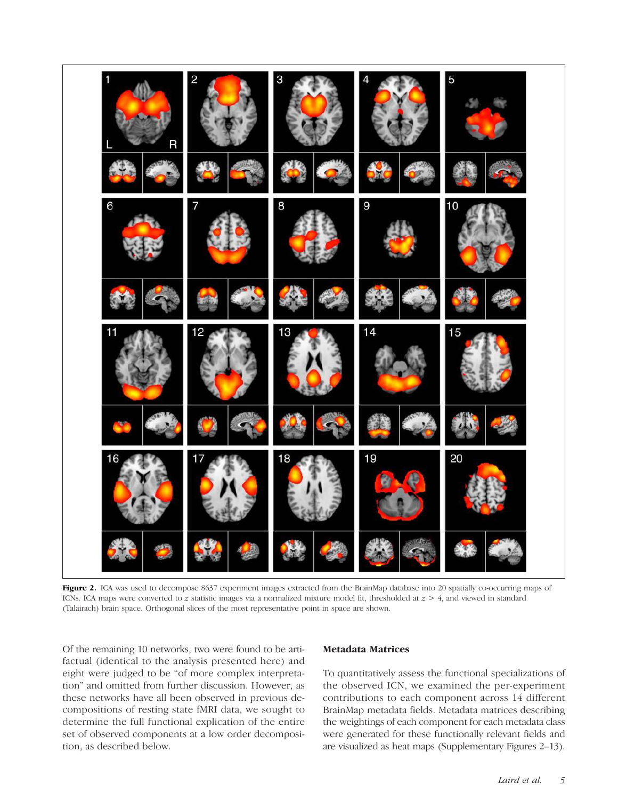

Figure 2. ICA was used to decompose 8637 experiment images extracted from the BrainMap database into 20 spatially co-occurring maps of ICNs. ICA maps were converted to  $z$  statistic images via a normalized mixture model fit, thresholded at  $z > 4$ , and viewed in standard (Talairach) brain space. Orthogonal slices of the most representative point in space are shown.

Of the remaining 10 networks, two were found to be artifactual (identical to the analysis presented here) and eight were judged to be "of more complex interpretation" and omitted from further discussion. However, as these networks have all been observed in previous decompositions of resting state fMRI data, we sought to determine the full functional explication of the entire set of observed components at a low order decomposition, as described below.

#### Metadata Matrices

To quantitatively assess the functional specializations of the observed ICN, we examined the per-experiment contributions to each component across 14 different BrainMap metadata fields. Metadata matrices describing the weightings of each component for each metadata class were generated for these functionally relevant fields and are visualized as heat maps (Supplementary Figures 2–13).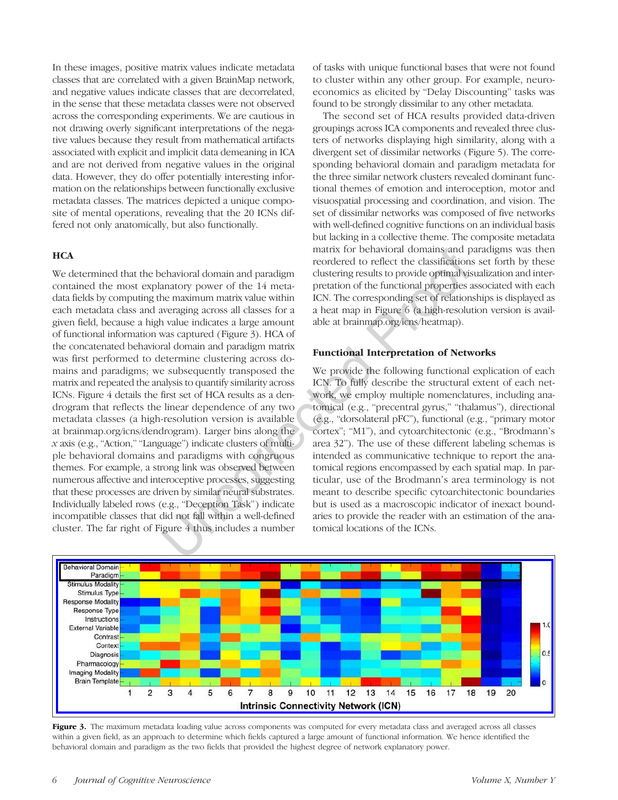In these images, positive matrix values indicate metadata classes that are correlated with a given BrainMap network, and negative values indicate classes that are decorrelated, in the sense that these metadata classes were not observed across the corresponding experiments. We are cautious in not drawing overly significant interpretations of the negative values because they result from mathematical artifacts associated with explicit and implicit data demeaning in ICA and are not derived from negative values in the original data. However, they do offer potentially interesting information on the relationships between functionally exclusive metadata classes. The matrices depicted a unique composite of mental operations, revealing that the 20 ICNs differed not only anatomically, but also functionally.

#### **HCA**

matrix to behavioral domain and paradigm<br>
matrix rocheat the classification<br>
enverted to reflect the classification<br>
anatory power of the 14 meta-<br>
pretation of the functional properties a<br>
nermation matrix value within IC We determined that the behavioral domain and paradigm contained the most explanatory power of the 14 metadata fields by computing the maximum matrix value within each metadata class and averaging across all classes for a given field, because a high value indicates a large amount of functional information was captured (Figure 3). HCA of the concatenated behavioral domain and paradigm matrix was first performed to determine clustering across domains and paradigms; we subsequently transposed the matrix and repeated the analysis to quantify similarity across ICNs. Figure 4 details the first set of HCA results as a dendrogram that reflects the linear dependence of any two metadata classes (a high-resolution version is available at brainmap.org/icns/dendrogram). Larger bins along the x axis (e.g., "Action," "Language") indicate clusters of multiple behavioral domains and paradigms with congruous themes. For example, a strong link was observed between numerous affective and interoceptive processes, suggesting that these processes are driven by similar neural substrates. Individually labeled rows (e.g., "Deception Task ") indicate incompatible classes that did not fall within a well-defined cluster. The far right of Figure 4 thus includes a number

of tasks with unique functional bases that were not found to cluster within any other group. For example, neuroeconomics as elicited by "Delay Discounting" tasks was found to be strongly dissimilar to any other metadata.

The second set of HCA results provided data-driven groupings across ICA components and revealed three clusters of networks displaying high similarity, along with a divergent set of dissimilar networks (Figure 5). The corresponding behavioral domain and paradigm metadata for the three similar network clusters revealed dominant functional themes of emotion and interoception, motor and visuospatial processing and coordination, and vision. The set of dissimilar networks was composed of five networks with well-defined cognitive functions on an individual basis but lacking in a collective theme. The composite metadata matrix for behavioral domains and paradigms was then reordered to reflect the classifications set forth by these clustering results to provide optimal visualization and interpretation of the functional properties associated with each ICN. The corresponding set of relationships is displayed as a heat map in Figure 6 (a high-resolution version is available at brainmap.org/icns/heatmap).

#### Functional Interpretation of Networks

We provide the following functional explication of each ICN. To fully describe the structural extent of each network, we employ multiple nomenclatures, including anatomical (e.g., "precentral gyrus," "thalamus"), directional (e.g., "dorsolateral pFC "), functional (e.g., "primary motor cortex"; "M1"), and cytoarchitectonic (e.g., "Brodmann's area 32 "). The use of these different labeling schemas is intended as communicative technique to report the anatomical regions encompassed by each spatial map. In particular, use of the Brodmann's area terminology is not meant to describe specific cytoarchitectonic boundaries but is used as a macroscopic indicator of inexact boundaries to provide the reader with an estimation of the anatomical locations of the ICNs.



Figure 3. The maximum metadata loading value across components was computed for every metadata class and averaged across all classes within a given field, as an approach to determine which fields captured a large amount of functional information. We hence identified the behavioral domain and paradigm as the two fields that provided the highest degree of network explanatory power.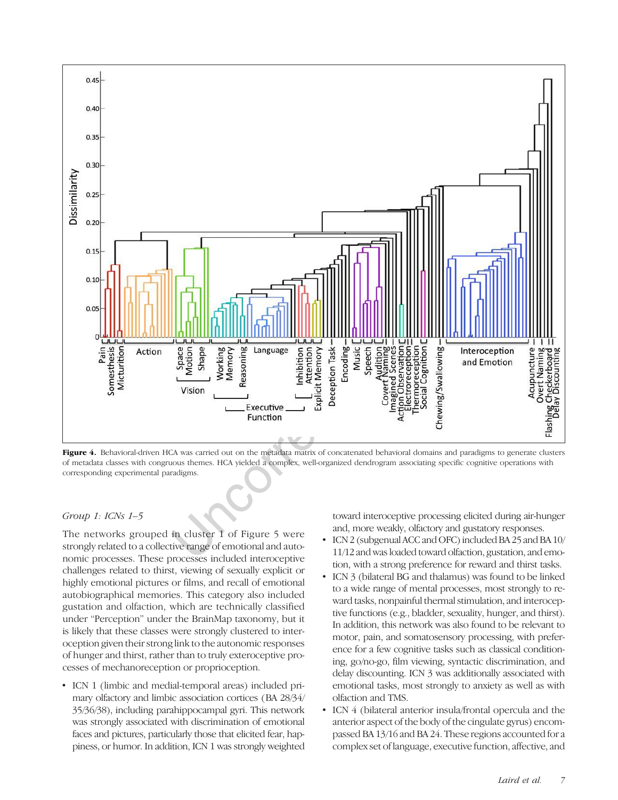

Figure 4. Behavioral-driven HCA was carried out on the metadata matrix of concatenated behavioral domains and paradigms to generate clusters of metadata classes with congruous themes. HCA yielded a complex, well-organized dendrogram associating specific cognitive operations with corresponding experimental paradigms.

#### Group 1: ICNs 1–5

The networks grouped in cluster 1 of Figure 5 were strongly related to a collective range of emotional and autonomic processes. These processes included interoceptive challenges related to thirst, viewing of sexually explicit or highly emotional pictures or films, and recall of emotional autobiographical memories. This category also included gustation and olfaction, which are technically classified under "Perception" under the BrainMap taxonomy, but it is likely that these classes were strongly clustered to interoception given their strong link to the autonomic responses of hunger and thirst, rather than to truly exteroceptive processes of mechanoreception or proprioception.

• ICN 1 (limbic and medial-temporal areas) included primary olfactory and limbic association cortices (BA 28/34/ 35/36/38), including parahippocampal gyri. This network was strongly associated with discrimination of emotional faces and pictures, particularly those that elicited fear, happiness, or humor. In addition, ICN 1 was strongly weighted

toward interoceptive processing elicited during air-hunger and, more weakly, olfactory and gustatory responses.

- ICN 2 (subgenual ACC and OFC) included BA 25 and BA 10/ 11/12 and was loaded toward olfaction, gustation, and emotion, with a strong preference for reward and thirst tasks.
- ICN 3 (bilateral BG and thalamus) was found to be linked to a wide range of mental processes, most strongly to reward tasks, nonpainful thermal stimulation, and interoceptive functions (e.g., bladder, sexuality, hunger, and thirst). In addition, this network was also found to be relevant to motor, pain, and somatosensory processing, with preference for a few cognitive tasks such as classical conditioning, go/no-go, film viewing, syntactic discrimination, and delay discounting. ICN 3 was additionally associated with emotional tasks, most strongly to anxiety as well as with olfaction and TMS.
- ICN 4 (bilateral anterior insula/frontal opercula and the anterior aspect of the body of the cingulate gyrus) encompassed BA 13/16 and BA 24. These regions accounted for a complex set of language, executive function, affective, and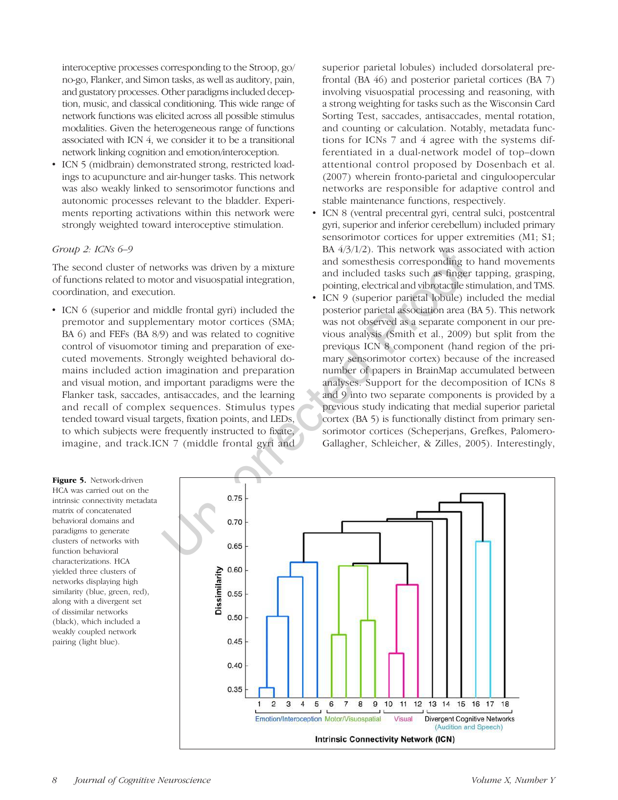interoceptive processes corresponding to the Stroop, go/ no-go, Flanker, and Simon tasks, as well as auditory, pain, and gustatory processes. Other paradigms included deception, music, and classical conditioning. This wide range of network functions was elicited across all possible stimulus modalities. Given the heterogeneous range of functions associated with ICN 4, we consider it to be a transitional network linking cognition and emotion/interoception.

• ICN 5 (midbrain) demonstrated strong, restricted loadings to acupuncture and air-hunger tasks. This network was also weakly linked to sensorimotor functions and autonomic processes relevant to the bladder. Experiments reporting activations within this network were strongly weighted toward interoceptive stimulation.

#### Group 2: ICNs 6–9

The second cluster of networks was driven by a mixture of functions related to motor and visuospatial integration, coordination, and execution.

• ICN 6 (superior and middle frontal gyri) included the premotor and supplementary motor cortices (SMA; BA 6) and FEFs (BA 8/9) and was related to cognitive control of visuomotor timing and preparation of executed movements. Strongly weighted behavioral domains included action imagination and preparation and visual motion, and important paradigms were the Flanker task, saccades, antisaccades, and the learning and recall of complex sequences. Stimulus types tended toward visual targets, fixation points, and LEDs, to which subjects were frequently instructed to fixate, imagine, and track.ICN 7 (middle frontal gyri and superior parietal lobules) included dorsolateral prefrontal (BA 46) and posterior parietal cortices (BA 7) involving visuospatial processing and reasoning, with a strong weighting for tasks such as the Wisconsin Card Sorting Test, saccades, antisaccades, mental rotation, and counting or calculation. Notably, metadata functions for ICNs 7 and 4 agree with the systems differentiated in a dual-network model of top–down attentional control proposed by Dosenbach et al. (2007) wherein fronto-parietal and cinguloopercular networks are responsible for adaptive control and stable maintenance functions, respectively.

- ICN 8 (ventral precentral gyri, central sulci, postcentral gyri, superior and inferior cerebellum) included primary sensorimotor cortices for upper extremities (M1; S1; BA 4/3/1/2). This network was associated with action and somesthesis corresponding to hand movements and included tasks such as finger tapping, grasping, pointing, electrical and vibrotactile stimulation, and TMS.
- ICN 9 (superior parietal lobule) included the medial posterior parietal association area (BA 5). This network was not observed as a separate component in our previous analysis (Smith et al., 2009) but split from the previous ICN 8 component (hand region of the primary sensorimotor cortex) because of the increased number of papers in BrainMap accumulated between analyses. Support for the decomposition of ICNs 8 and 9 into two separate components is provided by a previous study indicating that medial superior parietal cortex (BA 5) is functionally distinct from primary sensorimotor cortices (Scheperjans, Grefkes, Palomero-Gallagher, Schleicher, & Zilles, 2005). Interestingly,

Figure 5. Network-driven HCA was carried out on the intrinsic connectivity metadata matrix of concatenated behavioral domains and paradigms to generate clusters of networks with function behavioral characterizations. HCA yielded three clusters of networks displaying high similarity (blue, green, red), along with a divergent set of dissimilar networks (black), which included a weakly coupled network pairing (light blue).

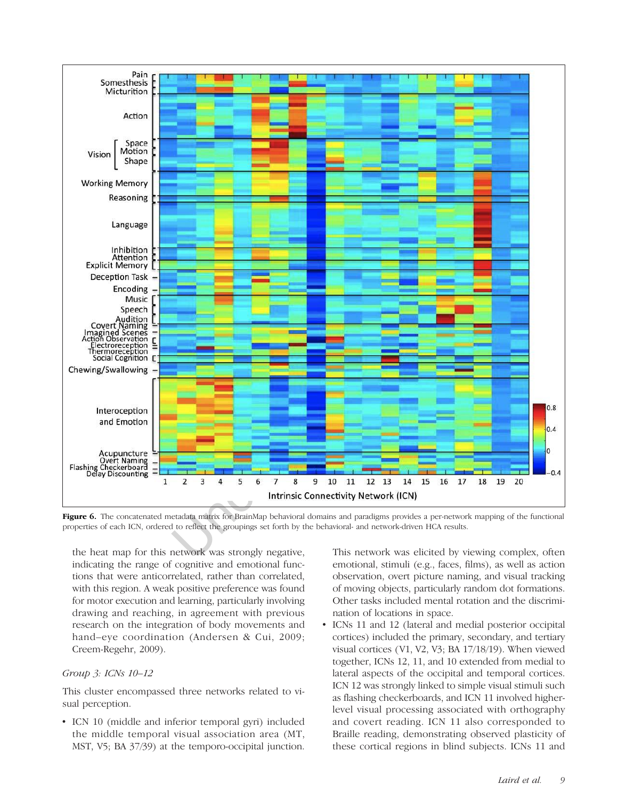

Figure 6. The concatenated metadata matrix for BrainMap behavioral domains and paradigms provides a per-network mapping of the functional properties of each ICN, ordered to reflect the groupings set forth by the behavioral- and network-driven HCA results.

the heat map for this network was strongly negative, indicating the range of cognitive and emotional functions that were anticorrelated, rather than correlated, with this region. A weak positive preference was found for motor execution and learning, particularly involving drawing and reaching, in agreement with previous research on the integration of body movements and hand–eye coordination (Andersen & Cui, 2009; Creem-Regehr, 2009).

# Group 3: ICNs 10–12

This cluster encompassed three networks related to visual perception.

• ICN 10 (middle and inferior temporal gyri) included the middle temporal visual association area (MT, MST, V5; BA 37/39) at the temporo-occipital junction.

This network was elicited by viewing complex, often emotional, stimuli (e.g., faces, films), as well as action observation, overt picture naming, and visual tracking of moving objects, particularly random dot formations. Other tasks included mental rotation and the discrimination of locations in space.

• ICNs 11 and 12 (lateral and medial posterior occipital cortices) included the primary, secondary, and tertiary visual cortices (V1, V2, V3; BA 17/18/19). When viewed together, ICNs 12, 11, and 10 extended from medial to lateral aspects of the occipital and temporal cortices. ICN 12 was strongly linked to simple visual stimuli such as flashing checkerboards, and ICN 11 involved higherlevel visual processing associated with orthography and covert reading. ICN 11 also corresponded to Braille reading, demonstrating observed plasticity of these cortical regions in blind subjects. ICNs 11 and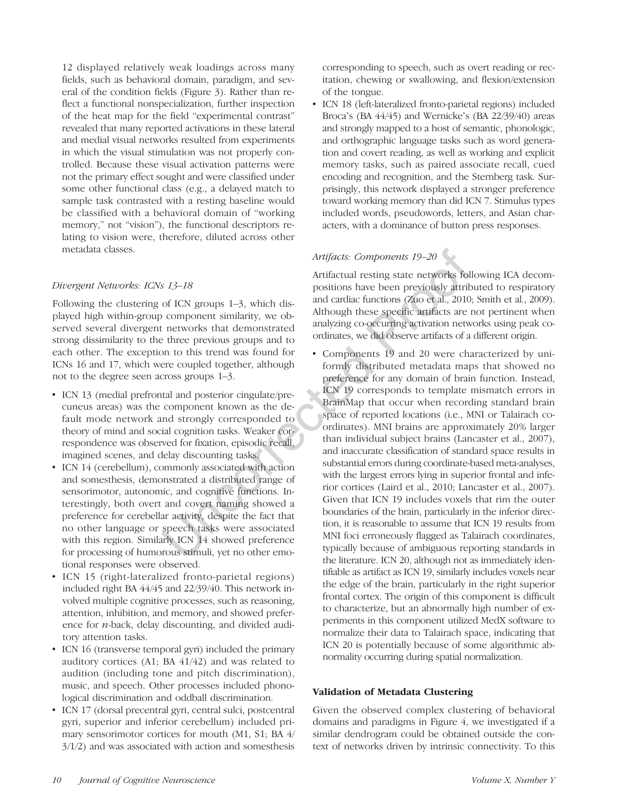12 displayed relatively weak loadings across many fields, such as behavioral domain, paradigm, and several of the condition fields (Figure 3). Rather than reflect a functional nonspecialization, further inspection of the heat map for the field "experimental contrast " revealed that many reported activations in these lateral and medial visual networks resulted from experiments in which the visual stimulation was not properly controlled. Because these visual activation patterns were not the primary effect sought and were classified under some other functional class (e.g., a delayed match to sample task contrasted with a resting baseline would be classified with a behavioral domain of "working memory," not "vision"), the functional descriptors relating to vision were, therefore, diluted across other metadata classes.

# Divergent Networks: ICNs 13 –18

Following the clustering of ICN groups 1 –3, which displayed high within-group component similarity, we observed several divergent networks that demonstrated strong dissimilarity to the three previous groups and to each other. The exception to this trend was found for ICNs 16 and 17, which were coupled together, although not to the degree seen across groups 1 –3.

- ICN 13 (medial prefrontal and posterior cingulate/precuneus areas) was the component known as the default mode network and strongly corresponded to theory of mind and social cognition tasks. Weaker correspondence was observed for fixation, episodic recall, imagined scenes, and delay discounting tasks.
- ICN 14 (cerebellum), commonly associated with action and somesthesis, demonstrated a distributed range of sensorimotor, autonomic, and cognitive functions. Interestingly, both overt and covert naming showed a preference for cerebellar activity, despite the fact that no other language or speech tasks were associated with this region. Similarly ICN 14 showed preference for processing of humorous stimuli, yet no other emotional responses were observed.
- ICN 15 (right-lateralized fronto-parietal regions) included right BA 44/45 and 22/39/40. This network involved multiple cognitive processes, such as reasoning, attention, inhibition, and memory, and showed preference for n-back, delay discounting, and divided auditory attention tasks.
- ICN 16 (transverse temporal gyri) included the primary auditory cortices (A1; BA 41/42) and was related to audition (including tone and pitch discrimination), music, and speech. Other processes included phonological discrimination and oddball discrimination.
- ICN 17 (dorsal precentral gyri, central sulci, postcentral gyri, superior and inferior cerebellum) included primary sensorimotor cortices for mouth (M1, S1; BA 4/ 3/1/2) and was associated with action and somesthesis

corresponding to speech, such as overt reading or recitation, chewing or swallowing, and flexion/extension of the tongue.

ICN 18 (left-lateralized fronto-parietal regions) included Broca 's (BA 44/45) and Wernicke 's (BA 22/39/40) areas and strongly mapped to a host of semantic, phonologic, and orthographic language tasks such as word generation and covert reading, as well as working and explicit memory tasks, such as paired associate recall, cued encoding and recognition, and the Sternberg task. Surprisingly, this network displayed a stronger preference toward working memory than did ICN 7. Stimulus types included words, pseudowords, letters, and Asian characters, with a dominance of button press responses.

# Artifacts: Components 19–20

Artifactual resting state networks following ICA decompositions have been previously attributed to respiratory and cardiac functions (Zuo et al., 2010; Smith et al., 2009). Although these specific artifacts are not pertinent when analyzing co-occurring activation networks using peak coordinates, we did observe artifacts of a different origin.

Artifacts: Components 19–20<br>
13–18<br>
Matifactual resting state networks following and the previously attributed for the previously attributed analyzing co-occurring activistos are increased analyzing co-occurring activistic • Components 19 and 20 were characterized by uniformly distributed metadata maps that showed no preference for any domain of brain function. Instead, ICN 19 corresponds to template mismatch errors in BrainMap that occur when recording standard brain space of reported locations (i.e., MNI or Talairach coordinates). MNI brains are approximately 20% larger than individual subject brains (Lancaster et al., 2007), and inaccurate classification of standard space results in substantial errors during coordinate-based meta-analyses, with the largest errors lying in superior frontal and inferior cortices (Laird et al., 2010; Lancaster et al., 2007). Given that ICN 19 includes voxels that rim the outer boundaries of the brain, particularly in the inferior direction, it is reasonable to assume that ICN 19 results from MNI foci erroneously flagged as Talairach coordinates, typically because of ambiguous reporting standards in the literature. ICN 20, although not as immediately identifiable as artifact as ICN 19, similarly includes voxels near the edge of the brain, particularly in the right superior frontal cortex. The origin of this component is difficult to characterize, but an abnormally high number of experiments in this component utilized MedX software to normalize their data to Talairach space, indicating that ICN 20 is potentially because of some algorithmic abnormality occurring during spatial normalization.

#### Validation of Metadata Clustering

Given the observed complex clustering of behavioral domains and paradigms in Figure 4, we investigated if a similar dendrogram could be obtained outside the context of networks driven by intrinsic connectivity. To this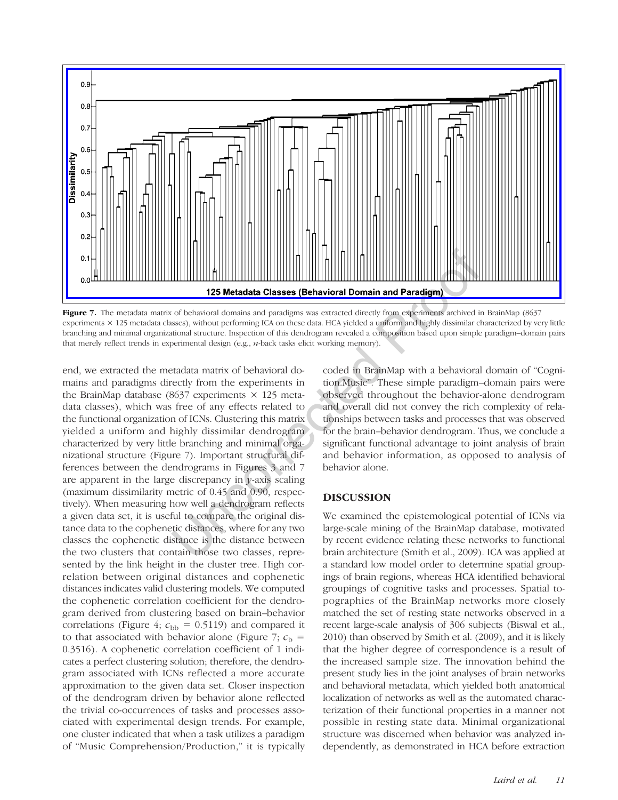

Figure 7. The metadata matrix of behavioral domains and paradigms was extracted directly from experiments archived in BrainMap (8637) experiments × 125 metadata classes), without performing ICA on these data. HCA yielded a uniform and highly dissimilar characterized by very little branching and minimal organizational structure. Inspection of this dendrogram revealed a composition based upon simple paradigm–domain pairs that merely reflect trends in experimental design (e.g., n-back tasks elicit working memory).

**Example 12 Solution**<br> **Example 12 Solution**<br> **Example 12 Solution**<br> **Example 12 Solution**<br> **Example 12 Solution**<br> **Example 12 A on these data.** HGA yielded a uniform and happly dissimilar eductional structure. Inspection end, we extracted the metadata matrix of behavioral domains and paradigms directly from the experiments in the BrainMap database (8637 experiments  $\times$  125 metadata classes), which was free of any effects related to the functional organization of ICNs. Clustering this matrix yielded a uniform and highly dissimilar dendrogram characterized by very little branching and minimal organizational structure (Figure 7). Important structural differences between the dendrograms in Figures 3 and 7 are apparent in the large discrepancy in  $\nu$ -axis scaling (maximum dissimilarity metric of 0.45 and 0.90, respectively). When measuring how well a dendrogram reflects a given data set, it is useful to compare the original distance data to the cophenetic distances, where for any two classes the cophenetic distance is the distance between the two clusters that contain those two classes, represented by the link height in the cluster tree. High correlation between original distances and cophenetic distances indicates valid clustering models. We computed the cophenetic correlation coefficient for the dendrogram derived from clustering based on brain–behavior correlations (Figure 4;  $c_{bb}$  = 0.5119) and compared it to that associated with behavior alone (Figure 7;  $c<sub>b</sub>$  = 0.3516). A cophenetic correlation coefficient of 1 indicates a perfect clustering solution; therefore, the dendrogram associated with ICNs reflected a more accurate approximation to the given data set. Closer inspection of the dendrogram driven by behavior alone reflected the trivial co-occurrences of tasks and processes associated with experimental design trends. For example, one cluster indicated that when a task utilizes a paradigm of "Music Comprehension/Production," it is typically

coded in BrainMap with a behavioral domain of "Cognition.Music". These simple paradigm–domain pairs were observed throughout the behavior-alone dendrogram and overall did not convey the rich complexity of relationships between tasks and processes that was observed for the brain–behavior dendrogram. Thus, we conclude a significant functional advantage to joint analysis of brain and behavior information, as opposed to analysis of behavior alone.

# DISCUSSION

We examined the epistemological potential of ICNs via large-scale mining of the BrainMap database, motivated by recent evidence relating these networks to functional brain architecture (Smith et al., 2009). ICA was applied at a standard low model order to determine spatial groupings of brain regions, whereas HCA identified behavioral groupings of cognitive tasks and processes. Spatial topographies of the BrainMap networks more closely matched the set of resting state networks observed in a recent large-scale analysis of 306 subjects (Biswal et al., 2010) than observed by Smith et al. (2009), and it is likely that the higher degree of correspondence is a result of the increased sample size. The innovation behind the present study lies in the joint analyses of brain networks and behavioral metadata, which yielded both anatomical localization of networks as well as the automated characterization of their functional properties in a manner not possible in resting state data. Minimal organizational structure was discerned when behavior was analyzed independently, as demonstrated in HCA before extraction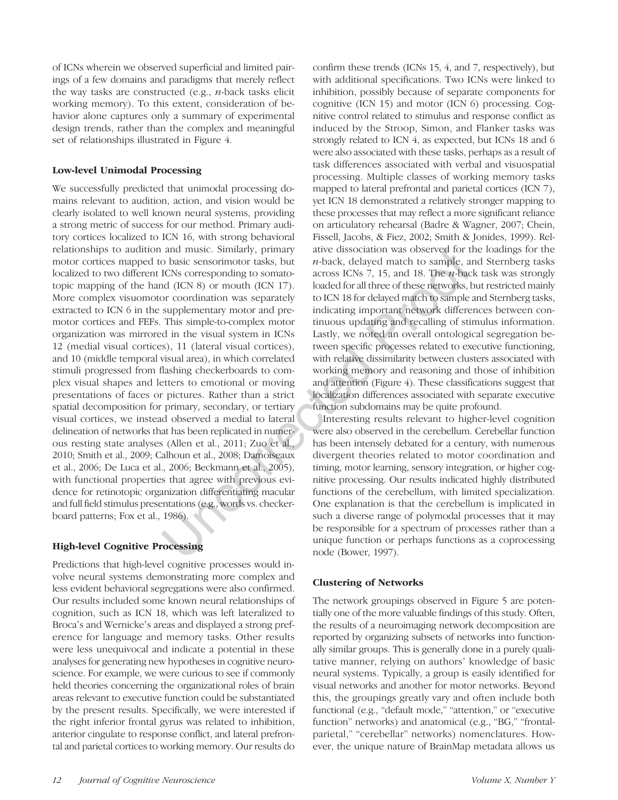of ICNs wherein we observed superficial and limited pairings of a few domains and paradigms that merely reflect the way tasks are constructed (e.g., n-back tasks elicit working memory). To this extent, consideration of behavior alone captures only a summary of experimental design trends, rather than the complex and meaningful set of relationships illustrated in Figure 4.

# Low-level Unimodal Processing

and music. Similarly, primary are dissociation was observed for the back sensorimotor takes, but *n*-back, delayed math b sample, a ICNs corresponding to somato are valued for all three of these networks, but CICNs corresp We successfully predicted that unimodal processing domains relevant to audition, action, and vision would be clearly isolated to well known neural systems, providing a strong metric of success for our method. Primary auditory cortices localized to ICN 16, with strong behavioral relationships to audition and music. Similarly, primary motor cortices mapped to basic sensorimotor tasks, but localized to two different ICNs corresponding to somatotopic mapping of the hand (ICN 8) or mouth (ICN 17). More complex visuomotor coordination was separately extracted to ICN 6 in the supplementary motor and premotor cortices and FEFs. This simple-to-complex motor organization was mirrored in the visual system in ICNs 12 (medial visual cortices), 11 (lateral visual cortices), and 10 (middle temporal visual area), in which correlated stimuli progressed from flashing checkerboards to complex visual shapes and letters to emotional or moving presentations of faces or pictures. Rather than a strict spatial decomposition for primary, secondary, or tertiary visual cortices, we instead observed a medial to lateral delineation of networks that has been replicated in numerous resting state analyses (Allen et al., 2011; Zuo et al., 2010; Smith et al., 2009; Calhoun et al., 2008; Damoiseaux et al., 2006; De Luca et al., 2006; Beckmann et al., 2005), with functional properties that agree with previous evidence for retinotopic organization differentiating macular and full field stimulus presentations (e.g., words vs. checkerboard patterns; Fox et al., 1986).

# High-level Cognitive Processing

Predictions that high-level cognitive processes would involve neural systems demonstrating more complex and less evident behavioral segregations were also confirmed. Our results included some known neural relationships of cognition, such as ICN 18, which was left lateralized to Broca 's and Wernicke 's areas and displayed a strong preference for language and memory tasks. Other results were less unequivocal and indicate a potential in these analyses for generating new hypotheses in cognitive neuroscience. For example, we were curious to see if commonly held theories concerning the organizational roles of brain areas relevant to executive function could be substantiated by the present results. Specifically, we were interested if the right inferior frontal gyrus was related to inhibition, anterior cingulate to response conflict, and lateral prefrontal and parietal cortices to working memory. Our results do

confirm these trends (ICNs 15, 4, and 7, respectively), but with additional specifications. Two ICNs were linked to inhibition, possibly because of separate components for cognitive (ICN 15) and motor (ICN 6) processing. Cognitive control related to stimulus and response conflict as induced by the Stroop, Simon, and Flanker tasks was strongly related to ICN 4, as expected, but ICNs 18 and 6 were also associated with these tasks, perhaps as a result of task differences associated with verbal and visuospatial processing. Multiple classes of working memory tasks mapped to lateral prefrontal and parietal cortices (ICN 7), yet ICN 18 demonstrated a relatively stronger mapping to these processes that may reflect a more significant reliance on articulatory rehearsal (Badre & Wagner, 2007; Chein, Fissell, Jacobs, & Fiez, 2002; Smith & Jonides, 1999). Relative dissociation was observed for the loadings for the  $n$ -back, delayed match to sample, and Sternberg tasks across ICNs 7, 15, and 18. The *n*-back task was strongly loaded for all three of these networks, but restricted mainly to ICN 18 for delayed match to sample and Sternberg tasks, indicating important network differences between continuous updating and recalling of stimulus information. Lastly, we noted an overall ontological segregation between specific processes related to executive functioning, with relative dissimilarity between clusters associated with working memory and reasoning and those of inhibition and attention (Figure 4). These classifications suggest that localization differences associated with separate executive function subdomains may be quite profound.

Interesting results relevant to higher-level cognition were also observed in the cerebellum. Cerebellar function has been intensely debated for a century, with numerous divergent theories related to motor coordination and timing, motor learning, sensory integration, or higher cognitive processing. Our results indicated highly distributed functions of the cerebellum, with limited specialization. One explanation is that the cerebellum is implicated in such a diverse range of polymodal processes that it may be responsible for a spectrum of processes rather than a unique function or perhaps functions as a coprocessing node (Bower, 1997).

# Clustering of Networks

The network groupings observed in Figure 5 are potentially one of the more valuable findings of this study. Often, the results of a neuroimaging network decomposition are reported by organizing subsets of networks into functionally similar groups. This is generally done in a purely qualitative manner, relying on authors' knowledge of basic neural systems. Typically, a group is easily identified for visual networks and another for motor networks. Beyond this, the groupings greatly vary and often include both functional (e.g., "default mode," "attention," or "executive function" networks) and anatomical (e.g., "BG," "frontalparietal," "cerebellar" networks) nomenclatures. However, the unique nature of BrainMap metadata allows us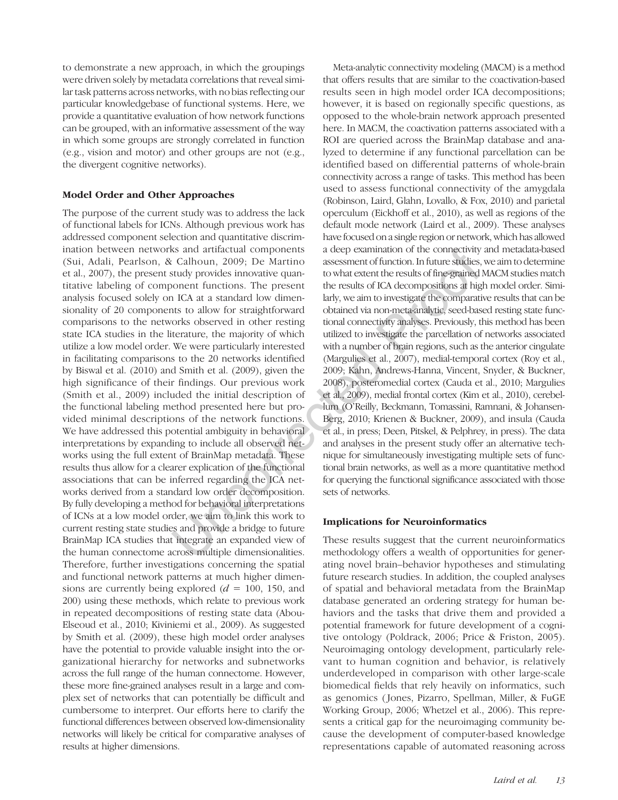to demonstrate a new approach, in which the groupings were driven solely by metadata correlations that reveal similar task patterns across networks, with no bias reflecting our particular knowledgebase of functional systems. Here, we provide a quantitative evaluation of how network functions can be grouped, with an informative assessment of the way in which some groups are strongly correlated in function (e.g., vision and motor) and other groups are not (e.g., the divergent cognitive networks).

#### Model Order and Other Approaches

s and arritatival components<br>
are examination of the connectivity<br>
c Calhoun, 2009; De Martino<br>
to what extent the results of funcesting<br>
surely provides innovative quantity to the results of CA decompositions at high<br>
one The purpose of the current study was to address the lack of functional labels for ICNs. Although previous work has addressed component selection and quantitative discrimination between networks and artifactual components (Sui, Adali, Pearlson, & Calhoun, 2009; De Martino et al., 2007), the present study provides innovative quantitative labeling of component functions. The present analysis focused solely on ICA at a standard low dimensionality of 20 components to allow for straightforward comparisons to the networks observed in other resting state ICA studies in the literature, the majority of which utilize a low model order. We were particularly interested in facilitating comparisons to the 20 networks identified by Biswal et al. (2010) and Smith et al. (2009), given the high significance of their findings. Our previous work (Smith et al., 2009) included the initial description of the functional labeling method presented here but provided minimal descriptions of the network functions. We have addressed this potential ambiguity in behavioral interpretations by expanding to include all observed networks using the full extent of BrainMap metadata. These results thus allow for a clearer explication of the functional associations that can be inferred regarding the ICA networks derived from a standard low order decomposition. By fully developing a method for behavioral interpretations of ICNs at a low model order, we aim to link this work to current resting state studies and provide a bridge to future BrainMap ICA studies that integrate an expanded view of the human connectome across multiple dimensionalities. Therefore, further investigations concerning the spatial and functional network patterns at much higher dimensions are currently being explored  $(d = 100, 150,$  and 200) using these methods, which relate to previous work in repeated decompositions of resting state data (Abou-Elseoud et al., 2010; Kiviniemi et al., 2009). As suggested by Smith et al. (2009), these high model order analyses have the potential to provide valuable insight into the organizational hierarchy for networks and subnetworks across the full range of the human connectome. However, these more fine-grained analyses result in a large and complex set of networks that can potentially be difficult and cumbersome to interpret. Our efforts here to clarify the functional differences between observed low-dimensionality networks will likely be critical for comparative analyses of results at higher dimensions.

Meta-analytic connectivity modeling (MACM) is a method that offers results that are similar to the coactivation-based results seen in high model order ICA decompositions; however, it is based on regionally specific questions, as opposed to the whole-brain network approach presented here. In MACM, the coactivation patterns associated with a ROI are queried across the BrainMap database and analyzed to determine if any functional parcellation can be identified based on differential patterns of whole-brain connectivity across a range of tasks. This method has been used to assess functional connectivity of the amygdala (Robinson, Laird, Glahn, Lovallo, & Fox, 2010) and parietal operculum (Eickhoff et al., 2010), as well as regions of the default mode network (Laird et al., 2009). These analyses have focused on a single region or network, which has allowed a deep examination of the connectivity and metadata-based assessment of function. In future studies, we aim to determine to what extent the results of fine-grained MACM studies match the results of ICA decompositions at high model order. Similarly, we aim to investigate the comparative results that can be obtained via non-meta-analytic, seed-based resting state functional connectivity analyses. Previously, this method has been utilized to investigate the parcellation of networks associated with a number of brain regions, such as the anterior cingulate (Margulies et al., 2007), medial-temporal cortex (Roy et al., 2009; Kahn, Andrews-Hanna, Vincent, Snyder, & Buckner, 2008), posteromedial cortex (Cauda et al., 2010; Margulies et al., 2009), medial frontal cortex (Kim et al., 2010), cerebellum (O'Reilly, Beckmann, Tomassini, Ramnani, & Johansen-Berg, 2010; Krienen & Buckner, 2009), and insula (Cauda et al., in press; Deen, Pitskel, & Pelphrey, in press). The data and analyses in the present study offer an alternative technique for simultaneously investigating multiple sets of functional brain networks, as well as a more quantitative method for querying the functional significance associated with those sets of networks.

# Implications for Neuroinformatics

These results suggest that the current neuroinformatics methodology offers a wealth of opportunities for generating novel brain–behavior hypotheses and stimulating future research studies. In addition, the coupled analyses of spatial and behavioral metadata from the BrainMap database generated an ordering strategy for human behaviors and the tasks that drive them and provided a potential framework for future development of a cognitive ontology (Poldrack, 2006; Price & Friston, 2005). Neuroimaging ontology development, particularly relevant to human cognition and behavior, is relatively underdeveloped in comparison with other large-scale biomedical fields that rely heavily on informatics, such as genomics ( Jones, Pizarro, Spellman, Miller, & FuGE Working Group, 2006; Whetzel et al., 2006). This represents a critical gap for the neuroimaging community because the development of computer-based knowledge representations capable of automated reasoning across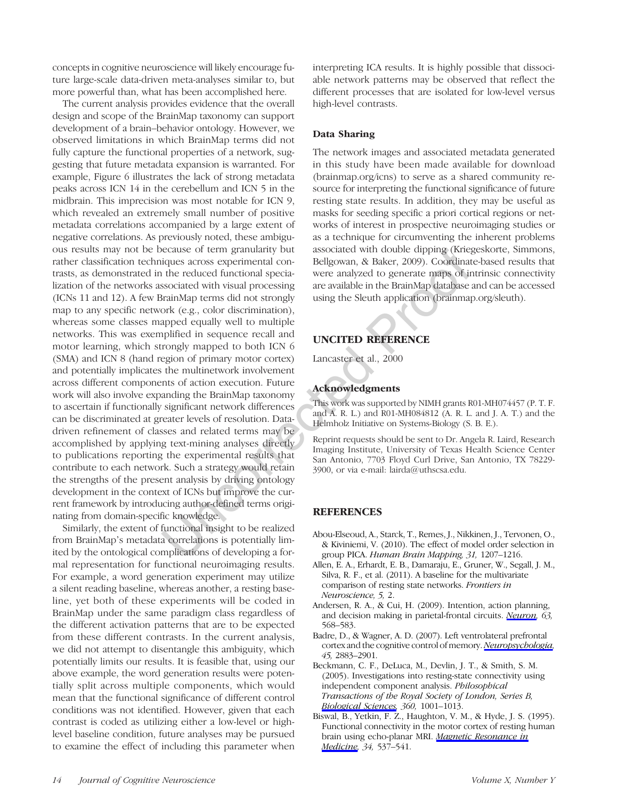concepts in cognitive neuroscience will likely encourage future large-scale data-driven meta-analyses similar to, but more powerful than, what has been accomplished here.

ecause of term granuary but associated with double dipping (Kriegiques across experimental conditions are analyzed to generate maps of itelevational special were analyzed to generate maps of itelevation of strongly mapped The current analysis provides evidence that the overall design and scope of the BrainMap taxonomy can support development of a brain –behavior ontology. However, we observed limitations in which BrainMap terms did not fully capture the functional properties of a network, suggesting that future metadata expansion is warranted. For example, Figure 6 illustrates the lack of strong metadata peaks across ICN 14 in the cerebellum and ICN 5 in the midbrain. This imprecision was most notable for ICN 9, which revealed an extremely small number of positive metadata correlations accompanied by a large extent of negative correlations. As previously noted, these ambiguous results may not be because of term granularity but rather classification techniques across experimental contrasts, as demonstrated in the reduced functional specialization of the networks associated with visual processing (ICNs 11 and 12). A few BrainMap terms did not strongly map to any specific network (e.g., color discrimination), whereas some classes mapped equally well to multiple networks. This was exemplified in sequence recall and motor learning, which strongly mapped to both ICN 6 (SMA) and ICN 8 (hand region of primary motor cortex) and potentially implicates the multinetwork involvement across different components of action execution. Future work will also involve expanding the BrainMap taxonomy to ascertain if functionally significant network differences can be discriminated at greater levels of resolution. Datadriven refinement of classes and related terms may be accomplished by applying text-mining analyses directly to publications reporting the experimental results that contribute to each network. Such a strategy would retain the strengths of the present analysis by driving ontology development in the context of ICNs but improve the current framework by introducing author-defined terms originating from domain-specific knowledge.

Similarly, the extent of functional insight to be realized from BrainMap 's metadata correlations is potentially limited by the ontological complications of developing a formal representation for functional neuroimaging results. For example, a word generation experiment may utilize a silent reading baseline, whereas another, a resting baseline, yet both of these experiments will be coded in BrainMap under the same paradigm class regardless of the different activation patterns that are to be expected from these different contrasts. In the current analysis, we did not attempt to disentangle this ambiguity, which potentially limits our results. It is feasible that, using our above example, the word generation results were potentially split across multiple components, which would mean that the functional significance of different control conditions was not identified. However, given that each contrast is coded as utilizing either a low-level or highlevel baseline condition, future analyses may be pursued to examine the effect of including this parameter when

interpreting ICA results. It is highly possible that dissociable network patterns may be observed that reflect the different processes that are isolated for low-level versus high-level contrasts.

#### Data Sharing

The network images and associated metadata generated in this study have been made available for download (brainmap.org/icns) to serve as a shared community resource for interpreting the functional significance of future resting state results. In addition, they may be useful as masks for seeding specific a priori cortical regions or networks of interest in prospective neuroimaging studies or as a technique for circumventing the inherent problems associated with double dipping (Kriegeskorte, Simmons, Bellgowan, & Baker, 2009). Coordinate-based results that were analyzed to generate maps of intrinsic connectivity are available in the BrainMap database and can be accessed using the Sleuth application (brainmap.org/sleuth).

# UNCITED REFERENCE

Lancaster et al., 2000

# Acknowledgments

This work was supported by NIMH grants R01-MH074457 (P. T. F. and A. R. L.) and R01-MH084812 (A. R. L. and J. A. T.) and the Helmholz Initiative on Systems-Biology (S. B. E.).

Reprint requests should be sent to Dr. Angela R. Laird, Research Imaging Institute, University of Texas Health Science Center San Antonio, 7703 Floyd Curl Drive, San Antonio, TX 78229- 3900, or via e-mail: lairda@uthscsa.edu.

# **REFERENCES**

- Abou-Elseoud, A., Starck, T., Remes, J., Nikkinen, J., Tervonen, O., & Kiviniemi, V. (2010). The effect of model order selection in group PICA. Human Brain Mapping, 31, 1207-1216.
- Allen, E. A., Erhardt, E. B., Damaraju, E., Gruner, W., Segall, J. M., Silva, R. F., et al. (2011). A baseline for the multivariate comparison of resting state networks. Frontiers in Neuroscience, 5, 2.
- Andersen, R. A., & Cui, H. (2009). Intention, action planning, and decision making in parietal-frontal circuits. *Neuron*, 63, 568 –583.
- Badre, D., & Wagner, A. D. (2007). Left ventrolateral prefrontal cortex and the cognitive control of memory. Neuropsychologia, 45, 2883 –2901.
- Beckmann, C. F., DeLuca, M., Devlin, J. T., & Smith, S. M. (2005). Investigations into resting-state connectivity using independent component analysis. Philosophical Transactions of the Royal Society of London, Series B, Biological Sciences, 360, 1001-1013.
- Biswal, B., Yetkin, F. Z., Haughton, V. M., & Hyde, J. S. (1995). Functional connectivity in the motor cortex of resting human brain using echo-planar MRI. Magnetic Resonance in Medicine, 34, 537–541.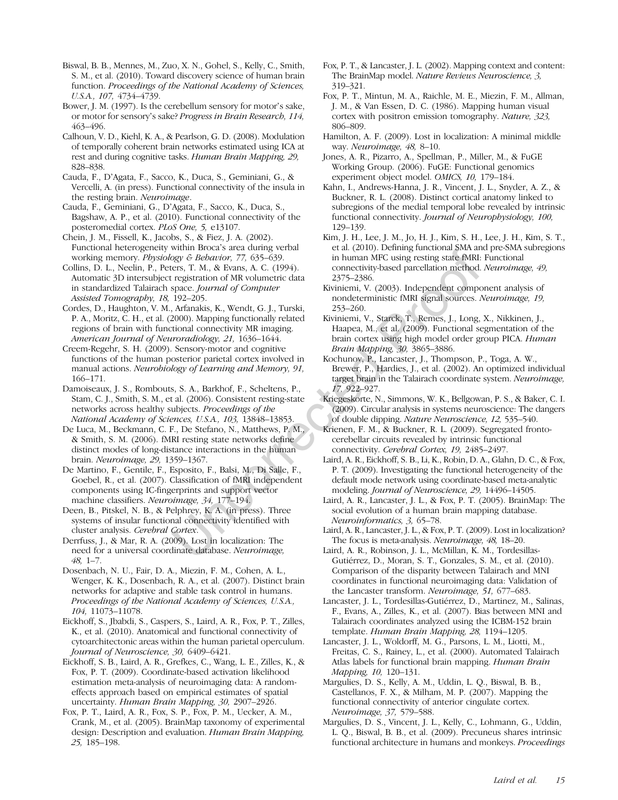Biswal, B. B., Mennes, M., Zuo, X. N., Gohel, S., Kelly, C., Smith, S. M., et al. (2010). Toward discovery science of human brain function. Proceedings of the National Academy of Sciences, U.S.A., 107, 4734–4739.

Bower, J. M. (1997). Is the cerebellum sensory for motor's sake, or motor for sensory's sake? Progress in Brain Research, 114, 463–496.

Calhoun, V. D., Kiehl, K. A., & Pearlson, G. D. (2008). Modulation of temporally coherent brain networks estimated using ICA at rest and during cognitive tasks. Human Brain Mapping, 29, 828–838.

Cauda, F., D'Agata, F., Sacco, K., Duca, S., Geminiani, G., & Vercelli, A. (in press). Functional connectivity of the insula in the resting brain. Neuroimage.

Cauda, F., Geminiani, G., D'Agata, F., Sacco, K., Duca, S., Bagshaw, A. P., et al. (2010). Functional connectivity of the posteromedial cortex. PLoS One, 5, e13107.

Chein, J. M., Fissell, K., Jacobs, S., & Fiez, J. A. (2002). Functional heterogeneity within Broca's area during verbal working memory. Physiology & Behavior, 77, 635–639.

Collins, D. L., Neelin, P., Peters, T. M., & Evans, A. C. (1994). Automatic 3D intersubject registration of MR volumetric data in standardized Talairach space. Journal of Computer Assisted Tomography, 18, 192–205.

Cordes, D., Haughton, V. M., Arfanakis, K., Wendt, G. J., Turski, P. A., Moritz, C. H., et al. (2000). Mapping functionally related regions of brain with functional connectivity MR imaging. American Journal of Neuroradiology, 21, 1636–1644.

Creem-Regehr, S. H. (2009). Sensory-motor and cognitive functions of the human posterior parietal cortex involved in manual actions. Neurobiology of Learning and Memory, 91, 166–171.

Damoiseaux, J. S., Rombouts, S. A., Barkhof, F., Scheltens, P., Stam, C. J., Smith, S. M., et al. (2006). Consistent resting-state networks across healthy subjects. Proceedings of the National Academy of Sciences, U.S.A., 103, 13848–13853.

De Luca, M., Beckmann, C. F., De Stefano, N., Matthews, P. M., & Smith, S. M. (2006). fMRI resting state networks define distinct modes of long-distance interactions in the human brain. Neuroimage, 29, 1359–1367.

De Martino, F., Gentile, F., Esposito, F., Balsi, M., Di Salle, F., Goebel, R., et al. (2007). Classification of fMRI independent components using IC-fingerprints and support vector machine classifiers. Neuroimage, 34, 177–194.

Deen, B., Pitskel, N. B., & Pelphrey, K. A. (in press). Three systems of insular functional connectivity identified with cluster analysis. Cerebral Cortex.

Derrfuss, J., & Mar, R. A. (2009). Lost in localization: The need for a universal coordinate database. Neuroimage, 48, 1–7.

Dosenbach, N. U., Fair, D. A., Miezin, F. M., Cohen, A. L., Wenger, K. K., Dosenbach, R. A., et al. (2007). Distinct brain networks for adaptive and stable task control in humans. Proceedings of the National Academy of Sciences, U.S.A., 104, 11073–11078.

Eickhoff, S., Jbabdi, S., Caspers, S., Laird, A. R., Fox, P. T., Zilles, K., et al. (2010). Anatomical and functional connectivity of cytoarchitectonic areas within the human parietal operculum. Journal of Neuroscience, 30, 6409–6421.

Eickhoff, S. B., Laird, A. R., Grefkes, C., Wang, L. E., Zilles, K., & Fox, P. T. (2009). Coordinate-based activation likelihood estimation meta-analysis of neuroimaging data: A randomeffects approach based on empirical estimates of spatial uncertainty. Human Brain Mapping, 30, 2907–2926.

Fox, P. T., Laird, A. R., Fox, S. P., Fox, P. M., Uecker, A. M., Crank, M., et al. (2005). BrainMap taxonomy of experimental design: Description and evaluation. Human Brain Mapping, 25, 185–198.

Fox, P. T., & Lancaster, J. L. (2002). Mapping context and content: The BrainMap model. Nature Reviews Neuroscience, 3, 319–321.

Fox, P. T., Mintun, M. A., Raichle, M. E., Miezin, F. M., Allman, J. M., & Van Essen, D. C. (1986). Mapping human visual cortex with positron emission tomography. Nature, 323, 806–809.

Hamilton, A. F. (2009). Lost in localization: A minimal middle way. Neuroimage, 48, 8–10.

Jones, A. R., Pizarro, A., Spellman, P., Miller, M., & FuGE Working Group. (2006). FuGE: Functional genomics experiment object model. OMICS, 10, 179–184.

Kahn, I., Andrews-Hanna, J. R., Vincent, J. L., Snyder, A. Z., & Buckner, R. L. (2008). Distinct cortical anatomy linked to subregions of the medial temporal lobe revealed by intrinsic functional connectivity. Journal of Neurophysiology, 100, 129–139.

Kim, J. H., Lee, J. M., Jo, H. J., Kim, S. H., Lee, J. H., Kim, S. T., et al. (2010). Defining functional SMA and pre-SMA subregions in human MFC using resting state fMRI: Functional connectivity-based parcellation method. Neuroimage, 49, 2375–2386.

Kiviniemi, V. (2003). Independent component analysis of nondeterministic fMRI signal sources. Neuroimage, 19, 253–260.

Kiviniemi, V., Starck, T., Remes, J., Long, X., Nikkinen, J., Haapea, M., et al. (2009). Functional segmentation of the brain cortex using high model order group PICA. Human Brain Mapping, 30, 3865–3886.

Kochunov, P., Lancaster, J., Thompson, P., Toga, A. W., Brewer, P., Hardies, J., et al. (2002). An optimized individual target brain in the Talairach coordinate system. Neuroimage, 17, 922–927.

Kriegeskorte, N., Simmons, W. K., Bellgowan, P. S., & Baker, C. I. (2009). Circular analysis in systems neuroscience: The dangers of double dipping. Nature Neuroscience, 12, 535–540.

Krienen, F. M., & Buckner, R. L. (2009). Segregated frontocerebellar circuits revealed by intrinsic functional connectivity. Cerebral Cortex, 19, 2485–2497.

what notas area tumply erion. The Association since that is the case of the case. T. M., & Evans, A. C. (1994).<br>
The human MFC using resting state fMR:<br>
reps. T. M., & Evans, A. C. (1994).<br>
The connectivity-based parelati Laird, A. R., Eickhoff, S. B., Li, K., Robin, D. A., Glahn, D. C., & Fox, P. T. (2009). Investigating the functional heterogeneity of the default mode network using coordinate-based meta-analytic modeling. Journal of Neuroscience, 29, 14496–14505.

Laird, A. R., Lancaster, J. L., & Fox, P. T. (2005). BrainMap: The social evolution of a human brain mapping database. Neuroinformatics, 3, 65–78.

Laird, A. R., Lancaster, J. L., & Fox, P. T. (2009). Lost in localization? The focus is meta-analysis. Neuroimage, 48, 18–20.

Laird, A. R., Robinson, J. L., McMillan, K. M., Tordesillas-Gutiérrez, D., Moran, S. T., Gonzales, S. M., et al. (2010). Comparison of the disparity between Talairach and MNI coordinates in functional neuroimaging data: Validation of the Lancaster transform. Neuroimage, 51, 677–683.

Lancaster, J. L., Tordesillas-Gutiérrez, D., Martinez, M., Salinas, F., Evans, A., Zilles, K., et al. (2007). Bias between MNI and Talairach coordinates analyzed using the ICBM-152 brain template. Human Brain Mapping, 28, 1194–1205.

Lancaster, J. L., Woldorff, M. G., Parsons, L. M., Liotti, M., Freitas, C. S., Rainey, L., et al. (2000). Automated Talairach Atlas labels for functional brain mapping. Human Brain Mapping, 10, 120–131.

Margulies, D. S., Kelly, A. M., Uddin, L. Q., Biswal, B. B., Castellanos, F. X., & Milham, M. P. (2007). Mapping the functional connectivity of anterior cingulate cortex. Neuroimage, 37, 579–588.

Margulies, D. S., Vincent, J. L., Kelly, C., Lohmann, G., Uddin, L. Q., Biswal, B. B., et al. (2009). Precuneus shares intrinsic functional architecture in humans and monkeys. Proceedings